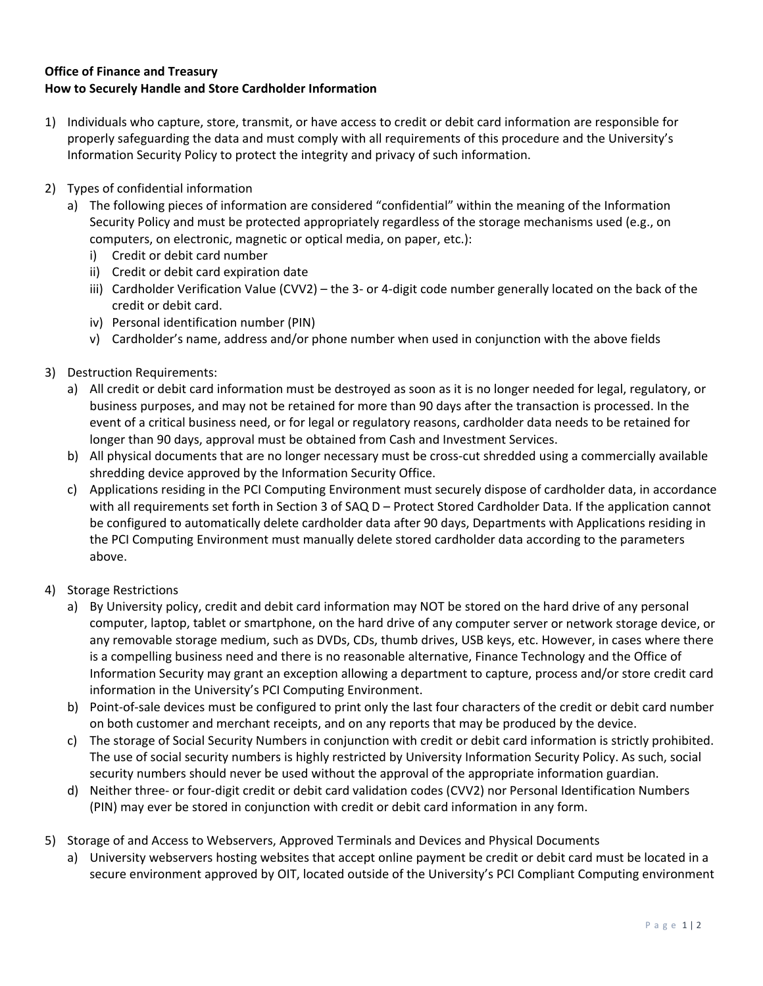## **Office of Finance and Treasury How to Securely Handle and Store Cardholder Information**

- 1) Individuals who capture, store, transmit, or have access to credit or debit card information are responsible for properly safeguarding the data and must comply with all requirements of this procedure and the University's Information Security Policy to protect the integrity and privacy of such information.
- 2) Types of confidential information
	- a) The following pieces of information are considered "confidential" within the meaning of the Information Security Policy and must be protected appropriately regardless of the storage mechanisms used (e.g., on computers, on electronic, magnetic or optical media, on paper, etc.):
		- i) Credit or debit card number
		- ii) Credit or debit card expiration date
		- iii) Cardholder Verification Value (CVV2) the 3‐ or 4‐digit code number generally located on the back of the credit or debit card.
		- iv) Personal identification number (PIN)
		- v) Cardholder's name, address and/or phone number when used in conjunction with the above fields
- 3) Destruction Requirements:
	- a) All credit or debit card information must be destroyed as soon as it is no longer needed for legal, regulatory, or business purposes, and may not be retained for more than 90 days after the transaction is processed. In the event of a critical business need, or for legal or regulatory reasons, cardholder data needs to be retained for longer than 90 days, approval must be obtained from Cash and Investment Services.
	- b) All physical documents that are no longer necessary must be cross-cut shredded using a commercially available shredding device approved by the Information Security Office.
	- c) Applications residing in the PCI Computing Environment must securely dispose of cardholder data, in accordance with all requirements set forth in Section 3 of SAQ D – Protect Stored Cardholder Data. If the application cannot be configured to automatically delete cardholder data after 90 days, Departments with Applications residing in the PCI Computing Environment must manually delete stored cardholder data according to the parameters above.
- 4) Storage Restrictions
	- a) By University policy, credit and debit card information may NOT be stored on the hard drive of any personal computer, laptop, tablet or smartphone, on the hard drive of any computer server or network storage device, or any removable storage medium, such as DVDs, CDs, thumb drives, USB keys, etc. However, in cases where there is a compelling business need and there is no reasonable alternative, Finance Technology and the Office of Information Security may grant an exception allowing a department to capture, process and/or store credit card information in the University's PCI Computing Environment.
	- b) Point-of-sale devices must be configured to print only the last four characters of the credit or debit card number on both customer and merchant receipts, and on any reports that may be produced by the device.
	- c) The storage of Social Security Numbers in conjunction with credit or debit card information is strictly prohibited. The use of social security numbers is highly restricted by University Information Security Policy. As such, social security numbers should never be used without the approval of the appropriate information guardian.
	- d) Neither three‐ or four‐digit credit or debit card validation codes (CVV2) nor Personal Identification Numbers (PIN) may ever be stored in conjunction with credit or debit card information in any form.
- 5) Storage of and Access to Webservers, Approved Terminals and Devices and Physical Documents
	- a) University webservers hosting websites that accept online payment be credit or debit card must be located in a secure environment approved by OIT, located outside of the University's PCI Compliant Computing environment